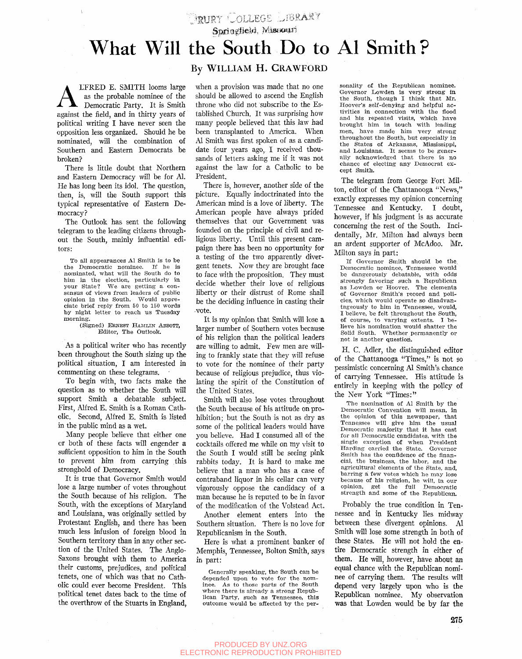**.** FRURT COLLEGE LIBRARY<br>**Sprigglie/d. Missioni** 

## What Will the South Do to Al Smith?

**A** LFRED E. SMITH looms large<br>as the probable nominee of the<br>against the field, and in thirty years of LFRED E. SMITH looms large as the probable nominee of the Democratic Party. It is Smith political writing I have never seen the opposition less organized. Should he be nominated, will the combination of Southern and Eastern Democrats be broken?

There is little doubt that Northern and Eastern Democracy will be for Al. He has long been its idol. The question, then, is, will the South support this typical representative of Eastern Democracy?

The Outlook has sent the following telegram to the leading citizens throughout the South, mainly influential editors:

To all appearances *A\* Smith is to be the Democratic nominee. nominated, what will the South do to him in the election, particularly in your State? We are getting a con-We are getting a consensus of views from leaders of public opinion in the South. Would appreciate brief reply from 50 to 150 words by night letter to reach us Tuesday morning.

## (Signed) ERNEST HAMLIN ABBOTT, Editor, The Outlook.

As a political writer who has recently been throughout the South sizing up the political situation, I am interested in commenting on these telegrams.

To begin with, two facts make the question as to whether the South will support Smith a debatable subject. First, Alfred E. Smith is a Roman Catholic. Second, Alfred E. Smith is listed in the public mind as a wet.

Many people believe that either one or both of these facts will engender a sufficient opposition to him in the South to prevent him from carrying this stronghold of Democracy.

It is true that Governor Smith would lose a large number of votes throughout the South because of his religion. The South, with the exceptions of Maryland and Louisiana, was originally settled by Protestant English, and there has been much less infusion of foreign blood in Southern territory than in any other section of the United States. The Anglo-Saxons brought with them to America their customs, prejudices, and political tenets, one of which was that no Catholic could ever become President. This political tenet dates back to the time of the overthrow of the Stuarts in England,

## By WILLIAM H. CRAWFORD

when a provision was made that no one should be allowed to ascend the English throne who did not subscribe to the Established Church. It was surprising how many people beheved that this law had been transplanted to America. When Al Smith was first spoken of as a candidate four years ago, I received thousands of letters asking me if it was not against the law for a Catholic to be President.

There is, however, another side of the picture. Equally indoctrinated into the American mind is a love of liberty. The American people have always prided themselves that our Government was founded on the principle of civil and religious liberty. Until this present campaign there has been no opportunity for a testing of the two apparently divergent tenets. Now they are brought face to face with the proposition. They must decide whether their love of religious liberty or their distrust of Rome shall be the deciding influence in casting their -vote.

It is my opinion that Smith will lose a larger number of Southern votes because of his religion than the political leaders are willing to admit. Few men are willing to frankly state that they will refuse to vote for the nominee of their party because of religious prejudice, thus violating the spirit of the Constitution of the United States.

Smith will also lose votes throughout the South because of his attitude on prohibition; but the South is not as dry as some of the political leaders would have you believe. Had I consumed all of the cocktails offered me while on my visit to the South I would still be seeing pink rabbits today. It is hard to make me believe that a man who has a case of contraband liquor in his cellar can very vigorously oppose the candidacy of a man because he is reputed to be in favor of the modification of the Volstead Act.

Another element enters into the Southern situation. There is no love for Republicanism in the South.

Here is what a prominent banker of Memphis, Tennessee, Bolton Smith, says in part:

Generally speaking, the South can be depended upon to vote for the nominee. As to those parts of the South where there is already a strong Republican Party, such as Tennessee, this outcome would be affected by the per-

sonality of the Republican nominee. Governor Lowden is very strong in the South, though I think that Mr. Hoover's self-denying' and helpful activities in connection with the flood and his repeated visits, which have brought him in touch with leading men, have made him very strong throughout the South, but especially in the States of Arkansas, Mississippi, and Louisiana. It seems to be generally acknowledged that there is no chance of electing any Democrat except Smith.

The telegram from George Fort Milton, editor of the Chattanooga "News," exactly expresses my opinion concerning Tennessee and Kentucky. I doubt, however, if his judgment is as accurate concerning the rest of the South. Incidentally, Mr. Milton had always been an ardent supporter of McAdoo. Mr. Milton says in part:

If Governor Smith should be the. Democratic nominee, Tennessee would be dangerously debatable, with odds strongly favoring' such a Republican as Dowden or Hoover. The elements of Governor Smith's record and policies, which would operate so disadvantageously to him in Tennessee, would, I believe, be felt throughout the South, of course, to varying extents. I believe his nomination would shatter the Solid South. Whether permanently or not is another question.

H. C. Adler, the distinguished editor of the Chattanooga "Times," is not so pessimistic concerning Al Smith's chance of carrying Tennessee. His attitude is entirely in keeping with the policy of the New York "Times:"

The nomination of Al Smith by the Democratic Convention will mean, in the opinion of this newspaper, that Tennessee will give him the usual Democratic majority that it has cast for al! Democratic candidates, with the single exception of when President<br>Harding carried the State. Governor Harding carried the State. Smith has the confidence of the financial, the business, the labor, and the agricultural elements of the State, and, barring a few votes which he may lose because of his religion, he will, in our opinion, get the full Democratic strength and some of the Republican.

Probably the true condition in Tennessee and in Kentucky lies midway between these divergent opinions. Al Smith will lose some strength in both of these States. He will not hold the entire Democratic strength in either of them. He will, however, have about an equal chance with the Republican nominee of carrying them. The results will depend very largely upon who is the Republican nominee. My observation was that Lowden would be by far the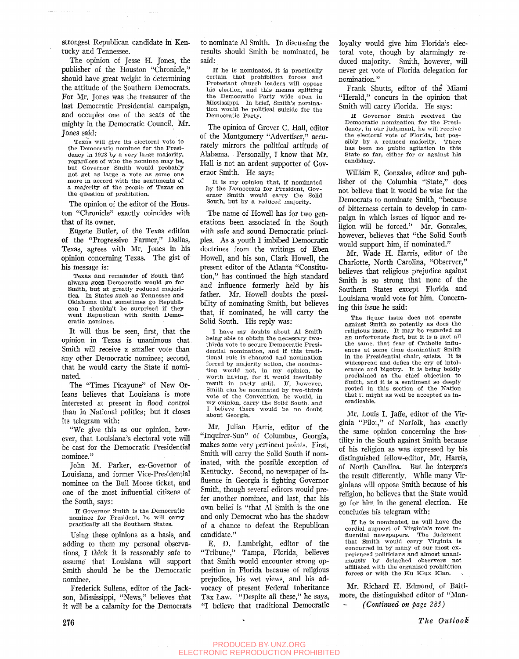strongest Republican candidate in Kentucky and Tennessee.

The opinion of Jesse H. Jones, the publisher of the Houston "Chronicle," should have great weight in determining the attitude of the Southern Democrats. For Mr. Jones was the treasurer of the last Democratic Presidential campaign, and occupies one of the seats of the mighty in the Democratic Council. Mr. Jones said:

Texas will give its electoral vote to the Democratic nominee for the Presidency in 1928 by a very large majority, regardless of who the nominee may be, but Governor Smith would probably not get as large a vote as some one more in accord with the sentiments of a majority of the people of Texas on the question of prohibition.

The opinion of the editor of the Houston "Chronicle" exactly coincides with that of its owner.

Eugene Butler, of the Texas edition of the "Progressive Farmer," Dallas, Texas, agrees with Mr. Jones in his opinion concerning Texas. The gist of his message is:

Texas and remainder of South that always goes Democratic would go for Smith, **but** at greatly reduced majorities. In States such as Tennessee and Oklahoma that sometimes go Republican I shouldn't be surprised if they went Republican with Smith Democratic nominee.

It will thus be seen, first, that the opinion in Texas is unanimous that Smith will receive a smaller vote than any other Democratic nominee; second, that he would carry the State if nominated.

The "Times Picayune" of New Orleans believes that Louisiana is more interested at present in flood control than in National politics; but it closes its telegram with:

"We give this as our opinion, however, that Louisiana's electoral vote will be cast for the Democratic Presidential nominee."

John M. Parker, ex-Governor of Louisiana, and former Vice-Presidential nominee on the Bull Moose ticket, and one of the most influential citizens of the South, says:

If Governor Smith is the Democratic nominee for President, he will carry practically all the Southern States.

Using these opinions as a basis, and adding to them my personal observations, I think it is reasonably safe to assume' that Louisiana will support Smith should he be the Democratic nominee.

Frederick Sullens, editor of the Jackson, Mississippi, "News," believes that it will be a calamity for the Democrats to nominate Al Smith. In discussing the results should Smith be nominated, he said:

If he is nominated, it is practically certain that prohibition forces and Protestant church leaders will oppose his election, and this means splitting the Democratic Party wide open in Mississippi. In brief. Smith's nomination would be political suicide for the Democratic Party.

The opinion of Grover C. Hall, editor of the Montgomery "Advertiser," accurately mirrors the political attitude of Alabama. Personally, I know that Mr. Hall is not an ardent supporter of Governor Smith. He says:

It is my opinion that, if nominated by the Democrats for President, Governor Smith would carry the Solid South, but by a reduced majority.

The name of Howell has for two generations been associated in the South with safe and sound Democratic principles. As a youth I imbibed Democratic doctrines from the writings of Eben Howell, and his son, Clark Howell, the present editor of the Atlanta "Constitution," has continued the high standard and influence formerly held by his father. Mr. Howell doubts the possibility of nominating Smith, but believes that, if nominated, he will carry the Solid South. His reply was:

I have my doubts about Al Smith being able to obtain the necessary twothirds vote to secure Democratic Presidential nomination, and if this traditional rule is changed and nomination forced by majority action, the nomination would not, in my opinion, be worth having, for it would inevitably result in party split. If, however, Smith can be nominated by two-thirds vote of the Convention, he would, in my opinion, carry the Solid South, and believe there would be no doubt about Georgia.

Mr. Julian Harris, editor of the "Inquirer-Sun" of Columbus, Georgia, makes some very pertinent points. First, Smith will carry the Solid South if nominated, with the possible exception of Kentucky. Second, no newspaper of influence in Georgia is fighting Governor Smith, though several editors would prefer another nominee, and last, that his own belief is "that Al Smith is the one and only Democrat who has the shadow of a chance to defeat the Republican candidate."

E. D. Lambright, editor of the "Tribune," Tampa, Florida, believes that Smith would encounter strong opposition in Florida because of religious prejudice, his wet views, and his advocacy of present Federal Inheritance Tax Law. "Despite all these," he says, "I believe that traditional Democratic loyalty would give him Florida's electoral vote, though by alarmingly reduced majority. Smith, however, will never get vote of Florida delegation for nomination."

Frank Shutts, editor of the Miami "Herald," concurs in the opinion that Smith will carry Florida. He says:

If Governor Smith received the Democratic nomination for the Presidency, in our judgment, he will receive the electoral vote of Florida, but pos-<br>sibly by a reduced majority. There sibly by a reduced majority. has been no public agitation in this State so far, either for or against his candidacy.

William E. Gonzales, editor and publisher of the Columbia "State," does not believe that it would be wise for the Democrats to nominate Smith, "because of bitterness certain to develop in campaign in which issues of liquor and religion will be forced." Mr. Gonzales, however, believes that "the Solid South would support him, if nominated."

Mr. Wade H. Harris, editor of the Charlotte, North Carolina, "Observer," believes that religious prejudice against Smith is so strong that none of the Southern States except Florida and Louisiana would vote for him. Concerning this issue he said:

The liquor issue does not operate against Smith so potently as does the religious issue. It may be regarded as an unfortunate fact, but it is a fact all the same, that fear of Catholic influences at some time dominating Smith<br>in the Presidential chair, exists. It is in the Presidential chair, exists. widespread and defies the cry of intolerance and bigotry. It is being boldly proclaimed as the chief objection to Smith, and it is a sentiment so deeply rooted in this section of the Nation that it might as well be accepted as ineradicable.

Mr. Louis I. Jaffe, editor of the Virginia "Pilot," of Norfolk, has exactly the same opinion concerning the hostility in the South against Smith because of his religion as was expressed by his distinguished fellow-editor, Mr. Harris, of North Carolina. But he interprets the result differently. While many Virginians will oppose Smith because of his religion, he believes that the State would go for him in the general election. He concludes his telegram with:

If he is nominated, he will have the cordial support of Virginia's most influential newspapers. The judgment that Smith would carry Virginia is concurred in by many of our most experienced politicians and almost unanimously by detached observers not affiliated with the organized prohibition forces or with the Ku Klux Klan.

Mr. Richard H. Edmond, of Baltimore, the distinguished editor of "Man-

*(Continued on page 285)*